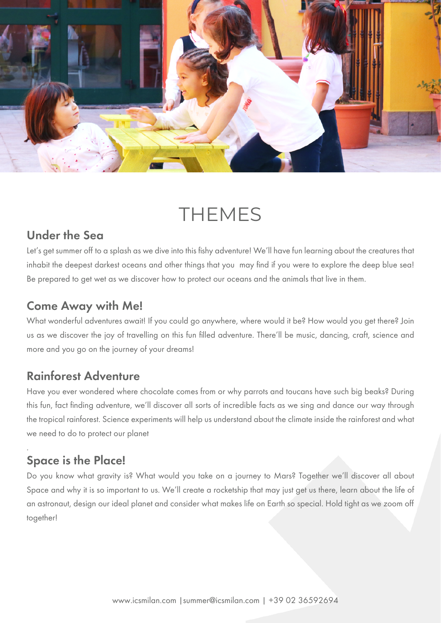

# **THEMES**

### Under the Sea

Let's get summer off to a splash as we dive into this fishy adventure! We'll have fun learning about the creatures that inhabit the deepest darkest oceans and other things that you may find if you were to explore the deep blue sea! Be prepared to get wet as we discover how to protect our oceans and the animals that live in them.

### Come Away with Me!

What wonderful adventures await! If you could go anywhere, where would it be? How would you get there? Join us as we discover the joy of travelling on this fun filled adventure. There'll be music, dancing, craft, science and more and you go on the journey of your dreams!

## Rainforest Adventure

Have you ever wondered where chocolate comes from or why parrots and toucans have such big beaks? During this fun, fact finding adventure, we'll discover all sorts of incredible facts as we sing and dance our way through the tropical rainforest. Science experiments will help us understand about the climate inside the rainforest and what we need to do to protect our planet

#### . Space is the Place!

Do you know what gravity is? What would you take on a journey to Mars? Together we'll discover all about Space and why it is so important to us. We'll create a rocketship that may just get us there, learn about the life of an astronaut, design our ideal planet and consider what makes life on Earth so special. Hold tight as we zoom off together!